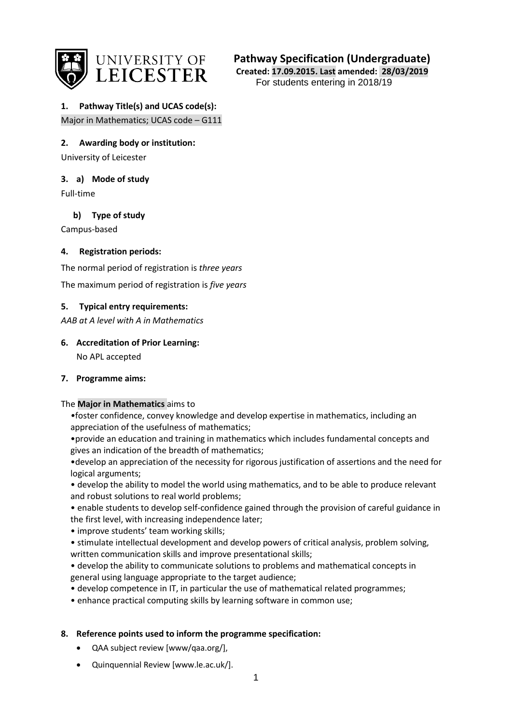

**Pathway Specification (Undergraduate)**

**Created: 17.09.2015. Last amended: 28/03/2019** For students entering in 2018/19

## **1. Pathway Title(s) and UCAS code(s):** Major in Mathematics; UCAS code – G111

**2. Awarding body or institution:**

University of Leicester

**3. a) Mode of study**

Full-time

**b) Type of study**

Campus-based

# **4. Registration periods:**

The normal period of registration is *three years*

The maximum period of registration is *five years*

# **5. Typical entry requirements:**

*AAB at A level with A in Mathematics*

# **6. Accreditation of Prior Learning:**

No APL accepted

# **7. Programme aims:**

# The **Major in Mathematics** aims to

*•*foster confidence, convey knowledge and develop expertise in mathematics, including an appreciation of the usefulness of mathematics;

•provide an education and training in mathematics which includes fundamental concepts and gives an indication of the breadth of mathematics;

•develop an appreciation of the necessity for rigorous justification of assertions and the need for logical arguments;

• develop the ability to model the world using mathematics, and to be able to produce relevant and robust solutions to real world problems;

• enable students to develop self-confidence gained through the provision of careful guidance in the first level, with increasing independence later;

• improve students' team working skills;

• stimulate intellectual development and develop powers of critical analysis, problem solving, written communication skills and improve presentational skills;

• develop the ability to communicate solutions to problems and mathematical concepts in general using language appropriate to the target audience;

- develop competence in IT, in particular the use of mathematical related programmes;
- enhance practical computing skills by learning software in common use;

# **8. Reference points used to inform the programme specification:**

- QAA subject review [www/qaa.org/],
- Quinquennial Revi[ew \[www.le.ac.u](http://www.le.ac.uk/)k/].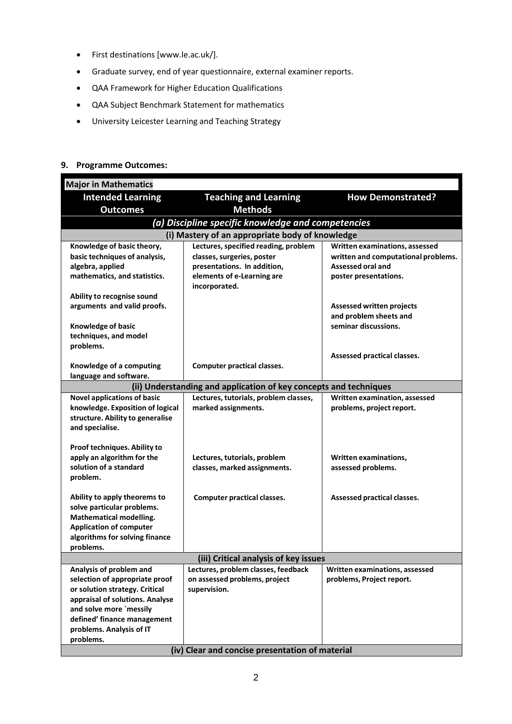- First destination[s \[www.le.ac.uk/\].](http://www.le.ac.uk/)
- Graduate survey, end of year questionnaire, external examiner reports.
- QAA Framework for Higher Education Qualifications
- QAA Subject Benchmark Statement for mathematics
- University Leicester Learning and Teaching Strategy

# **9. Programme Outcomes:**

| <b>Major in Mathematics</b>                                       |                                                    |                                     |
|-------------------------------------------------------------------|----------------------------------------------------|-------------------------------------|
| <b>Intended Learning</b>                                          | <b>Teaching and Learning</b>                       | <b>How Demonstrated?</b>            |
| <b>Outcomes</b>                                                   | <b>Methods</b>                                     |                                     |
|                                                                   | (a) Discipline specific knowledge and competencies |                                     |
|                                                                   | (i) Mastery of an appropriate body of knowledge    |                                     |
| Knowledge of basic theory,                                        | Lectures, specified reading, problem               | Written examinations, assessed      |
| basic techniques of analysis,                                     | classes, surgeries, poster                         | written and computational problems. |
| algebra, applied                                                  | presentations. In addition,                        | Assessed oral and                   |
| mathematics, and statistics.                                      | elements of e-Learning are<br>incorporated.        | poster presentations.               |
| Ability to recognise sound                                        |                                                    |                                     |
| arguments and valid proofs.                                       |                                                    | <b>Assessed written projects</b>    |
|                                                                   |                                                    | and problem sheets and              |
| Knowledge of basic                                                |                                                    | seminar discussions.                |
| techniques, and model                                             |                                                    |                                     |
| problems.                                                         |                                                    |                                     |
| Knowledge of a computing                                          | <b>Computer practical classes.</b>                 | Assessed practical classes.         |
| language and software.                                            |                                                    |                                     |
| (ii) Understanding and application of key concepts and techniques |                                                    |                                     |
| <b>Novel applications of basic</b>                                | Lectures, tutorials, problem classes,              | Written examination, assessed       |
| knowledge. Exposition of logical                                  | marked assignments.                                | problems, project report.           |
| structure. Ability to generalise                                  |                                                    |                                     |
| and specialise.                                                   |                                                    |                                     |
| Proof techniques. Ability to                                      |                                                    |                                     |
| apply an algorithm for the                                        | Lectures, tutorials, problem                       | Written examinations,               |
| solution of a standard                                            | classes, marked assignments.                       | assessed problems.                  |
| problem.                                                          |                                                    |                                     |
|                                                                   |                                                    |                                     |
| Ability to apply theorems to<br>solve particular problems.        | <b>Computer practical classes.</b>                 | Assessed practical classes.         |
| Mathematical modelling.                                           |                                                    |                                     |
| <b>Application of computer</b>                                    |                                                    |                                     |
| algorithms for solving finance                                    |                                                    |                                     |
| problems.                                                         |                                                    |                                     |
| (iii) Critical analysis of key issues                             |                                                    |                                     |
| Analysis of problem and                                           | Lectures, problem classes, feedback                | Written examinations, assessed      |
| selection of appropriate proof                                    | on assessed problems, project                      | problems, Project report.           |
| or solution strategy. Critical                                    | supervision.                                       |                                     |
| appraisal of solutions. Analyse<br>and solve more `messily        |                                                    |                                     |
| defined' finance management                                       |                                                    |                                     |
| problems. Analysis of IT                                          |                                                    |                                     |
| problems.                                                         |                                                    |                                     |
| (iv) Clear and concise presentation of material                   |                                                    |                                     |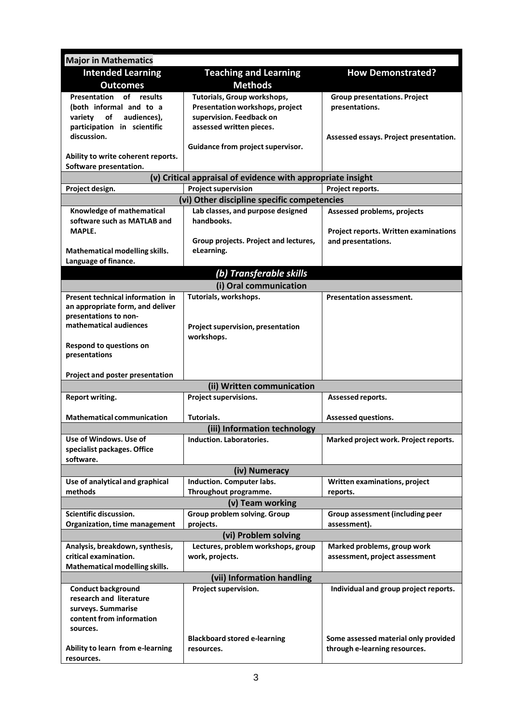| <b>Major in Mathematics</b>                                       |                                                             |                                        |
|-------------------------------------------------------------------|-------------------------------------------------------------|----------------------------------------|
| <b>Intended Learning</b>                                          | <b>Teaching and Learning</b>                                | <b>How Demonstrated?</b>               |
| <b>Outcomes</b>                                                   | <b>Methods</b>                                              |                                        |
| Presentation of results                                           | Tutorials, Group workshops,                                 | <b>Group presentations. Project</b>    |
| (both informal and to a                                           | Presentation workshops, project                             | presentations.                         |
| of<br>audiences).<br>variety                                      | supervision. Feedback on                                    |                                        |
| participation in scientific                                       | assessed written pieces.                                    |                                        |
| discussion.                                                       |                                                             | Assessed essays. Project presentation. |
|                                                                   | Guidance from project supervisor.                           |                                        |
| Ability to write coherent reports.                                |                                                             |                                        |
| Software presentation.                                            |                                                             |                                        |
|                                                                   | (v) Critical appraisal of evidence with appropriate insight |                                        |
| <b>Project supervision</b><br>Project reports.<br>Project design. |                                                             |                                        |
|                                                                   | (vi) Other discipline specific competencies                 |                                        |
| Knowledge of mathematical<br>software such as MATLAB and          | Lab classes, and purpose designed<br>handbooks.             | Assessed problems, projects            |
| MAPLE.                                                            |                                                             | Project reports. Written examinations  |
|                                                                   | Group projects. Project and lectures,                       | and presentations.                     |
| Mathematical modelling skills.                                    | eLearning.                                                  |                                        |
| Language of finance.                                              |                                                             |                                        |
|                                                                   | (b) Transferable skills                                     |                                        |
|                                                                   | (i) Oral communication                                      |                                        |
| Present technical information in                                  | Tutorials, workshops.                                       | <b>Presentation assessment.</b>        |
| an appropriate form, and deliver                                  |                                                             |                                        |
| presentations to non-                                             |                                                             |                                        |
| mathematical audiences                                            | Project supervision, presentation                           |                                        |
|                                                                   | workshops.                                                  |                                        |
| Respond to questions on                                           |                                                             |                                        |
| presentations                                                     |                                                             |                                        |
| Project and poster presentation                                   |                                                             |                                        |
|                                                                   | (ii) Written communication                                  |                                        |
| Report writing.                                                   | Project supervisions.                                       | Assessed reports.                      |
|                                                                   |                                                             |                                        |
| <b>Mathematical communication</b>                                 | Tutorials.                                                  | Assessed questions.                    |
|                                                                   | (iii) Information technology                                |                                        |
| Use of Windows. Use of                                            | Induction. Laboratories.                                    | Marked project work. Project reports.  |
| specialist packages. Office                                       |                                                             |                                        |
| software.                                                         |                                                             |                                        |
|                                                                   | (iv) Numeracy                                               |                                        |
| Use of analytical and graphical                                   | Induction. Computer labs.                                   | Written examinations, project          |
| methods                                                           | Throughout programme.                                       | reports.                               |
|                                                                   | (v) Team working                                            |                                        |
| Scientific discussion.                                            | Group problem solving. Group                                | Group assessment (including peer       |
| Organization, time management                                     | projects.                                                   | assessment).                           |
|                                                                   | (vi) Problem solving                                        |                                        |
| Analysis, breakdown, synthesis,<br>critical examination.          | Lectures, problem workshops, group                          | Marked problems, group work            |
| Mathematical modelling skills.                                    | work, projects.                                             | assessment, project assessment         |
|                                                                   | (vii) Information handling                                  |                                        |
| <b>Conduct background</b>                                         | Project supervision.                                        | Individual and group project reports.  |
| research and literature                                           |                                                             |                                        |
| surveys. Summarise                                                |                                                             |                                        |
| content from information                                          |                                                             |                                        |
| sources.                                                          |                                                             |                                        |
|                                                                   | <b>Blackboard stored e-learning</b>                         | Some assessed material only provided   |
| Ability to learn from e-learning                                  | resources.                                                  | through e-learning resources.          |
| resources.                                                        |                                                             |                                        |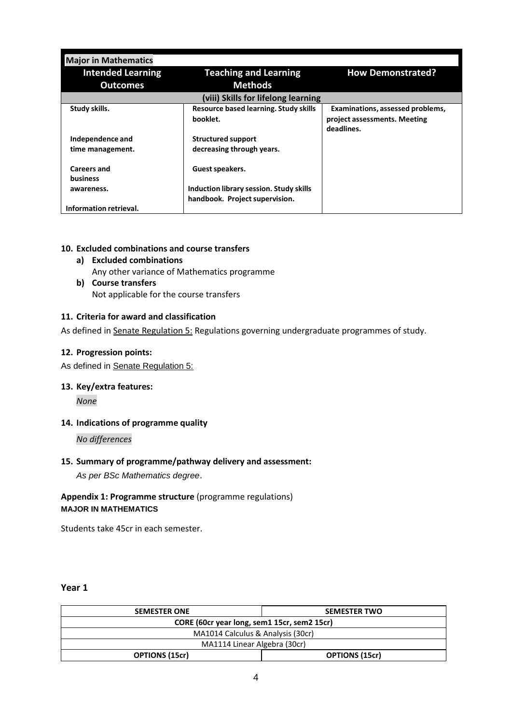| <b>Major in Mathematics</b>           |                                                   |                                                                                |
|---------------------------------------|---------------------------------------------------|--------------------------------------------------------------------------------|
| <b>Intended Learning</b>              | <b>Teaching and Learning</b>                      | <b>How Demonstrated?</b>                                                       |
| <b>Outcomes</b>                       | <b>Methods</b>                                    |                                                                                |
| (viii) Skills for lifelong learning   |                                                   |                                                                                |
| Study skills.                         | Resource based learning. Study skills<br>booklet. | Examinations, assessed problems,<br>project assessments. Meeting<br>deadlines. |
| Independence and                      | <b>Structured support</b>                         |                                                                                |
| time management.                      | decreasing through years.                         |                                                                                |
| <b>Careers and</b><br><b>business</b> | Guest speakers.                                   |                                                                                |
| awareness.                            | Induction library session. Study skills           |                                                                                |
|                                       | handbook. Project supervision.                    |                                                                                |
| Information retrieval.                |                                                   |                                                                                |

#### **10. Excluded combinations and course transfers**

- **a) Excluded combinations** Any other variance of Mathematics programme
- **b) Course transfers** Not applicable for the course transfers

### **11. Criteria for award and classification**

As defined i[n Senate Regulation 5:](http://www.le.ac.uk/senate-regulation5) Regulations governing undergraduate programmes of study.

#### **12. Progression points:**

As defined in [Senate Regulation 5:](http://www.le.ac.uk/senate-regulation5)

**13. Key/extra features:**

*None*

### **14. Indications of programme quality**

*No differences* 

#### **15. Summary of programme/pathway delivery and assessment:**

*As per BSc Mathematics degree*.

# **Appendix 1: Programme structure** (programme regulations) **MAJOR IN MATHEMATICS**

Students take 45cr in each semester.

### **Year 1**

| <b>SEMESTER ONE</b>                         | <b>SEMESTER TWO</b>   |  |
|---------------------------------------------|-----------------------|--|
| CORE (60cr year long, sem1 15cr, sem2 15cr) |                       |  |
| MA1014 Calculus & Analysis (30cr)           |                       |  |
| MA1114 Linear Algebra (30cr)                |                       |  |
| <b>OPTIONS (15cr)</b>                       | <b>OPTIONS (15cr)</b> |  |